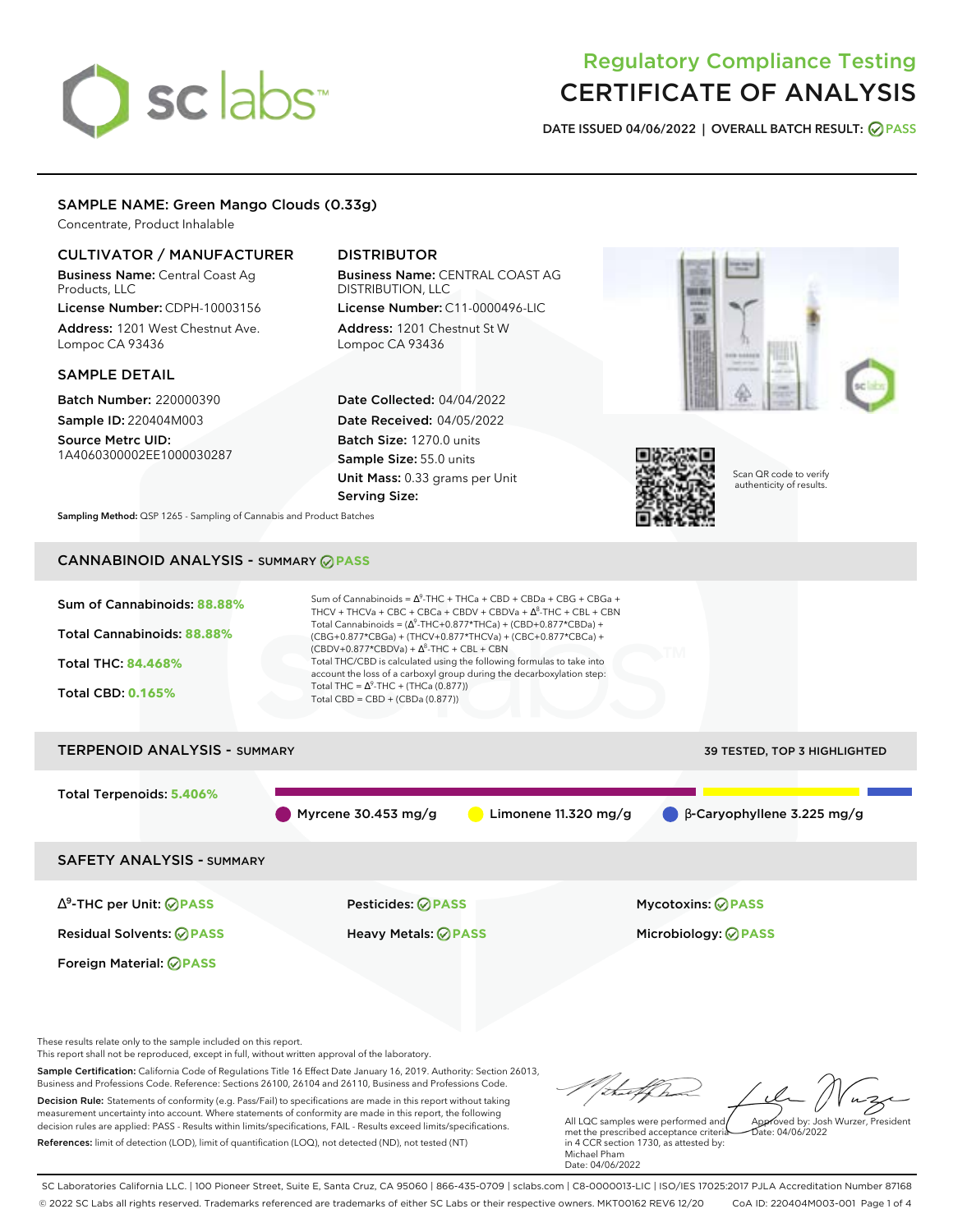# sclabs<sup>\*</sup>

# Regulatory Compliance Testing CERTIFICATE OF ANALYSIS

**DATE ISSUED 04/06/2022 | OVERALL BATCH RESULT: PASS**

# SAMPLE NAME: Green Mango Clouds (0.33g)

Concentrate, Product Inhalable

# CULTIVATOR / MANUFACTURER

Business Name: Central Coast Ag Products, LLC

License Number: CDPH-10003156 Address: 1201 West Chestnut Ave. Lompoc CA 93436

# SAMPLE DETAIL

Batch Number: 220000390 Sample ID: 220404M003 Source Metrc UID:

1A4060300002EE1000030287

# DISTRIBUTOR

Business Name: CENTRAL COAST AG DISTRIBUTION, LLC License Number: C11-0000496-LIC

Address: 1201 Chestnut St W Lompoc CA 93436

Date Collected: 04/04/2022 Date Received: 04/05/2022 Batch Size: 1270.0 units Sample Size: 55.0 units Unit Mass: 0.33 grams per Unit Serving Size:





Scan QR code to verify authenticity of results.

**Sampling Method:** QSP 1265 - Sampling of Cannabis and Product Batches

# CANNABINOID ANALYSIS - SUMMARY **PASS**



These results relate only to the sample included on this report.

This report shall not be reproduced, except in full, without written approval of the laboratory.

Sample Certification: California Code of Regulations Title 16 Effect Date January 16, 2019. Authority: Section 26013, Business and Professions Code. Reference: Sections 26100, 26104 and 26110, Business and Professions Code. Decision Rule: Statements of conformity (e.g. Pass/Fail) to specifications are made in this report without taking measurement uncertainty into account. Where statements of conformity are made in this report, the following decision rules are applied: PASS - Results within limits/specifications, FAIL - Results exceed limits/specifications.

References: limit of detection (LOD), limit of quantification (LOQ), not detected (ND), not tested (NT)

Approved by: Josh Wurzer, President

 $ate: 04/06/2022$ 

All LQC samples were performed and met the prescribed acceptance criteria in 4 CCR section 1730, as attested by: Michael Pham Date: 04/06/2022

SC Laboratories California LLC. | 100 Pioneer Street, Suite E, Santa Cruz, CA 95060 | 866-435-0709 | sclabs.com | C8-0000013-LIC | ISO/IES 17025:2017 PJLA Accreditation Number 87168 © 2022 SC Labs all rights reserved. Trademarks referenced are trademarks of either SC Labs or their respective owners. MKT00162 REV6 12/20 CoA ID: 220404M003-001 Page 1 of 4